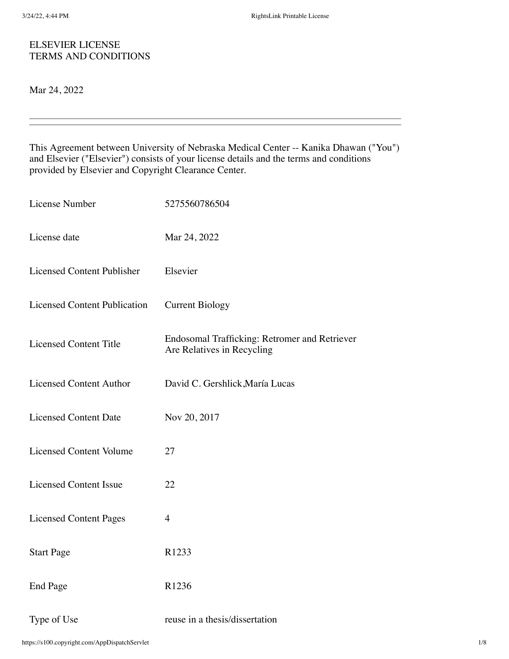#### ELSEVIER LICENSE TERMS AND CONDITIONS

#### Mar 24, 2022

This Agreement between University of Nebraska Medical Center -- Kanika Dhawan ("You") and Elsevier ("Elsevier") consists of your license details and the terms and conditions provided by Elsevier and Copyright Clearance Center.

| License Number                      | 5275560786504                                                               |
|-------------------------------------|-----------------------------------------------------------------------------|
| License date                        | Mar 24, 2022                                                                |
| <b>Licensed Content Publisher</b>   | Elsevier                                                                    |
| <b>Licensed Content Publication</b> | <b>Current Biology</b>                                                      |
| <b>Licensed Content Title</b>       | Endosomal Trafficking: Retromer and Retriever<br>Are Relatives in Recycling |
| <b>Licensed Content Author</b>      | David C. Gershlick, María Lucas                                             |
| <b>Licensed Content Date</b>        | Nov 20, 2017                                                                |
| <b>Licensed Content Volume</b>      | 27                                                                          |
| <b>Licensed Content Issue</b>       | 22                                                                          |
| <b>Licensed Content Pages</b>       | $\overline{4}$                                                              |
| <b>Start Page</b>                   | R1233                                                                       |
| <b>End Page</b>                     | R1236                                                                       |
| Type of Use                         | reuse in a thesis/dissertation                                              |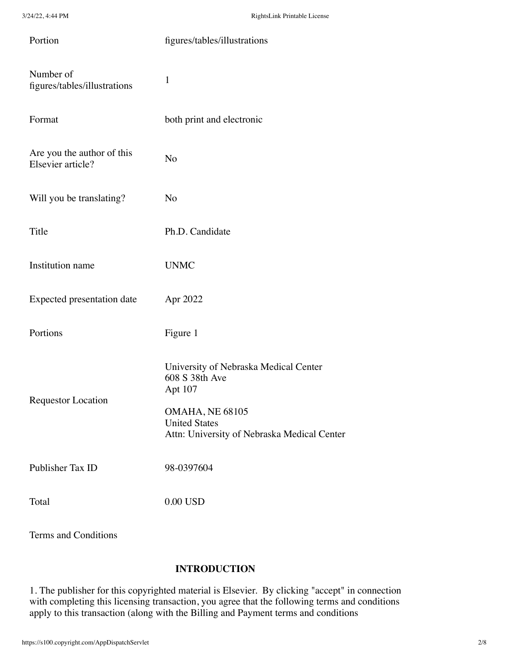| Portion                                         | figures/tables/illustrations                                                                                                                                        |
|-------------------------------------------------|---------------------------------------------------------------------------------------------------------------------------------------------------------------------|
| Number of<br>figures/tables/illustrations       | $\mathbf{1}$                                                                                                                                                        |
| Format                                          | both print and electronic                                                                                                                                           |
| Are you the author of this<br>Elsevier article? | No                                                                                                                                                                  |
| Will you be translating?                        | No                                                                                                                                                                  |
| Title                                           | Ph.D. Candidate                                                                                                                                                     |
| Institution name                                | <b>UNMC</b>                                                                                                                                                         |
| Expected presentation date                      | Apr 2022                                                                                                                                                            |
| Portions                                        | Figure 1                                                                                                                                                            |
| Requestor Location                              | University of Nebraska Medical Center<br>608 S 38th Ave<br>Apt 107<br><b>OMAHA, NE 68105</b><br><b>United States</b><br>Attn: University of Nebraska Medical Center |
| Publisher Tax ID                                | 98-0397604                                                                                                                                                          |
| Total                                           | 0.00 USD                                                                                                                                                            |
| Terms and Conditions                            |                                                                                                                                                                     |

# **INTRODUCTION**

1. The publisher for this copyrighted material is Elsevier. By clicking "accept" in connection with completing this licensing transaction, you agree that the following terms and conditions apply to this transaction (along with the Billing and Payment terms and conditions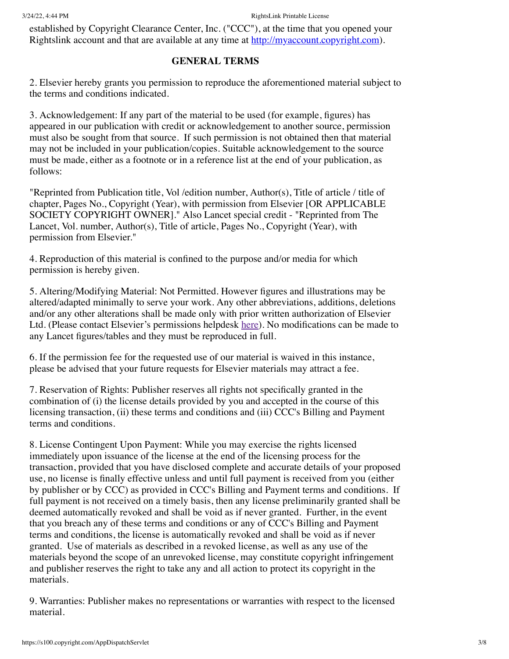established by Copyright Clearance Center, Inc. ("CCC"), at the time that you opened your Rightslink account and that are available at any time at [http://myaccount.copyright.com\)](http://myaccount.copyright.com/).

# **GENERAL TERMS**

2. Elsevier hereby grants you permission to reproduce the aforementioned material subject to the terms and conditions indicated.

3. Acknowledgement: If any part of the material to be used (for example, figures) has appeared in our publication with credit or acknowledgement to another source, permission must also be sought from that source. If such permission is not obtained then that material may not be included in your publication/copies. Suitable acknowledgement to the source must be made, either as a footnote or in a reference list at the end of your publication, as follows:

"Reprinted from Publication title, Vol /edition number, Author(s), Title of article / title of chapter, Pages No., Copyright (Year), with permission from Elsevier [OR APPLICABLE SOCIETY COPYRIGHT OWNER]." Also Lancet special credit - "Reprinted from The Lancet, Vol. number, Author(s), Title of article, Pages No., Copyright (Year), with permission from Elsevier."

4. Reproduction of this material is confined to the purpose and/or media for which permission is hereby given.

5. Altering/Modifying Material: Not Permitted. However figures and illustrations may be altered/adapted minimally to serve your work. Any other abbreviations, additions, deletions and/or any other alterations shall be made only with prior written authorization of Elsevier Ltd. (Please contact Elsevier's permissions helpdesk [here](https://service.elsevier.com/app/contact/supporthub/permissions-helpdesk/)). No modifications can be made to any Lancet figures/tables and they must be reproduced in full.

6. If the permission fee for the requested use of our material is waived in this instance, please be advised that your future requests for Elsevier materials may attract a fee.

7. Reservation of Rights: Publisher reserves all rights not specifically granted in the combination of (i) the license details provided by you and accepted in the course of this licensing transaction, (ii) these terms and conditions and (iii) CCC's Billing and Payment terms and conditions.

8. License Contingent Upon Payment: While you may exercise the rights licensed immediately upon issuance of the license at the end of the licensing process for the transaction, provided that you have disclosed complete and accurate details of your proposed use, no license is finally effective unless and until full payment is received from you (either by publisher or by CCC) as provided in CCC's Billing and Payment terms and conditions. If full payment is not received on a timely basis, then any license preliminarily granted shall be deemed automatically revoked and shall be void as if never granted. Further, in the event that you breach any of these terms and conditions or any of CCC's Billing and Payment terms and conditions, the license is automatically revoked and shall be void as if never granted. Use of materials as described in a revoked license, as well as any use of the materials beyond the scope of an unrevoked license, may constitute copyright infringement and publisher reserves the right to take any and all action to protect its copyright in the materials.

9. Warranties: Publisher makes no representations or warranties with respect to the licensed material.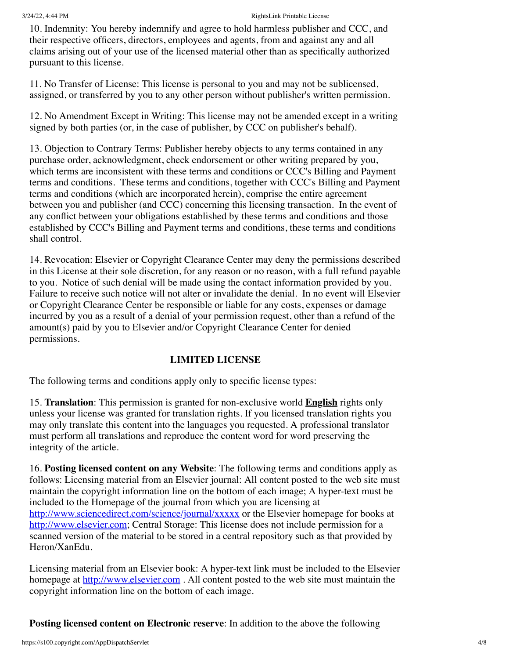#### 3/24/22, 4:44 PM RightsLink Printable License

10. Indemnity: You hereby indemnify and agree to hold harmless publisher and CCC, and their respective officers, directors, employees and agents, from and against any and all claims arising out of your use of the licensed material other than as specifically authorized pursuant to this license.

11. No Transfer of License: This license is personal to you and may not be sublicensed, assigned, or transferred by you to any other person without publisher's written permission.

12. No Amendment Except in Writing: This license may not be amended except in a writing signed by both parties (or, in the case of publisher, by CCC on publisher's behalf).

13. Objection to Contrary Terms: Publisher hereby objects to any terms contained in any purchase order, acknowledgment, check endorsement or other writing prepared by you, which terms are inconsistent with these terms and conditions or CCC's Billing and Payment terms and conditions. These terms and conditions, together with CCC's Billing and Payment terms and conditions (which are incorporated herein), comprise the entire agreement between you and publisher (and CCC) concerning this licensing transaction. In the event of any conflict between your obligations established by these terms and conditions and those established by CCC's Billing and Payment terms and conditions, these terms and conditions shall control.

14. Revocation: Elsevier or Copyright Clearance Center may deny the permissions described in this License at their sole discretion, for any reason or no reason, with a full refund payable to you. Notice of such denial will be made using the contact information provided by you. Failure to receive such notice will not alter or invalidate the denial. In no event will Elsevier or Copyright Clearance Center be responsible or liable for any costs, expenses or damage incurred by you as a result of a denial of your permission request, other than a refund of the amount(s) paid by you to Elsevier and/or Copyright Clearance Center for denied permissions.

# **LIMITED LICENSE**

The following terms and conditions apply only to specific license types:

15. **Translation**: This permission is granted for non-exclusive world **English** rights only unless your license was granted for translation rights. If you licensed translation rights you may only translate this content into the languages you requested. A professional translator must perform all translations and reproduce the content word for word preserving the integrity of the article.

16. **Posting licensed content on any Website**: The following terms and conditions apply as follows: Licensing material from an Elsevier journal: All content posted to the web site must maintain the copyright information line on the bottom of each image; A hyper-text must be included to the Homepage of the journal from which you are licensing at <http://www.sciencedirect.com/science/journal/xxxxx> or the Elsevier homepage for books at [http://www.elsevier.com;](http://www.elsevier.com/) Central Storage: This license does not include permission for a scanned version of the material to be stored in a central repository such as that provided by Heron/XanEdu.

Licensing material from an Elsevier book: A hyper-text link must be included to the Elsevier homepage at [http://www.elsevier.com](http://www.elsevier.com/) . All content posted to the web site must maintain the copyright information line on the bottom of each image.

**Posting licensed content on Electronic reserve**: In addition to the above the following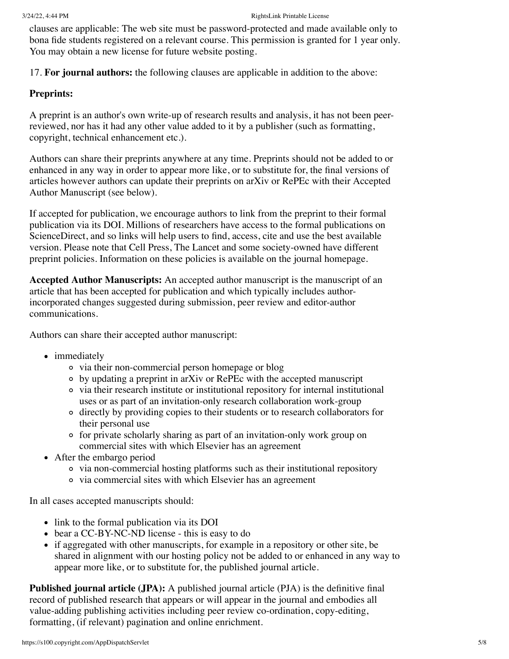clauses are applicable: The web site must be password-protected and made available only to bona fide students registered on a relevant course. This permission is granted for 1 year only. You may obtain a new license for future website posting.

17. **For journal authors:** the following clauses are applicable in addition to the above:

#### **Preprints:**

A preprint is an author's own write-up of research results and analysis, it has not been peerreviewed, nor has it had any other value added to it by a publisher (such as formatting, copyright, technical enhancement etc.).

Authors can share their preprints anywhere at any time. Preprints should not be added to or enhanced in any way in order to appear more like, or to substitute for, the final versions of articles however authors can update their preprints on arXiv or RePEc with their Accepted Author Manuscript (see below).

If accepted for publication, we encourage authors to link from the preprint to their formal publication via its DOI. Millions of researchers have access to the formal publications on ScienceDirect, and so links will help users to find, access, cite and use the best available version. Please note that Cell Press, The Lancet and some society-owned have different preprint policies. Information on these policies is available on the journal homepage.

**Accepted Author Manuscripts:** An accepted author manuscript is the manuscript of an article that has been accepted for publication and which typically includes authorincorporated changes suggested during submission, peer review and editor-author communications.

Authors can share their accepted author manuscript:

- immediately
	- via their non-commercial person homepage or blog
	- by updating a preprint in arXiv or RePEc with the accepted manuscript
	- via their research institute or institutional repository for internal institutional uses or as part of an invitation-only research collaboration work-group
	- directly by providing copies to their students or to research collaborators for their personal use
	- for private scholarly sharing as part of an invitation-only work group on commercial sites with which Elsevier has an agreement
- After the embargo period
	- via non-commercial hosting platforms such as their institutional repository
	- via commercial sites with which Elsevier has an agreement

In all cases accepted manuscripts should:

- link to the formal publication via its DOI
- bear a CC-BY-NC-ND license this is easy to do
- if aggregated with other manuscripts, for example in a repository or other site, be shared in alignment with our hosting policy not be added to or enhanced in any way to appear more like, or to substitute for, the published journal article.

**Published journal article (JPA):** A published journal article (PJA) is the definitive final record of published research that appears or will appear in the journal and embodies all value-adding publishing activities including peer review co-ordination, copy-editing, formatting, (if relevant) pagination and online enrichment.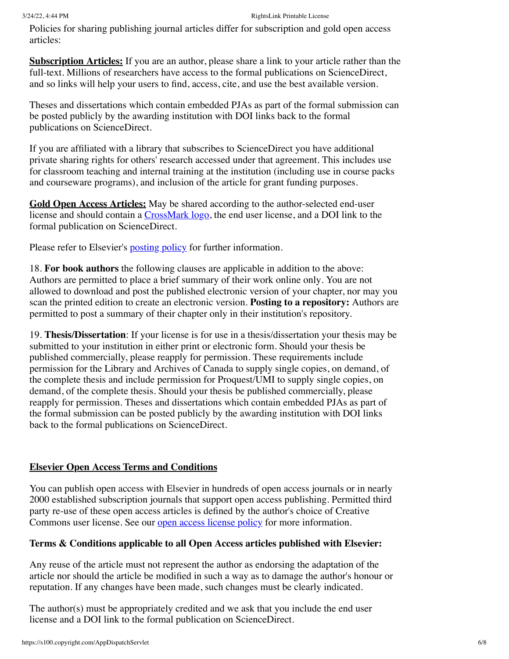Policies for sharing publishing journal articles differ for subscription and gold open access articles:

**Subscription Articles:** If you are an author, please share a link to your article rather than the full-text. Millions of researchers have access to the formal publications on ScienceDirect, and so links will help your users to find, access, cite, and use the best available version.

Theses and dissertations which contain embedded PJAs as part of the formal submission can be posted publicly by the awarding institution with DOI links back to the formal publications on ScienceDirect.

If you are affiliated with a library that subscribes to ScienceDirect you have additional private sharing rights for others' research accessed under that agreement. This includes use for classroom teaching and internal training at the institution (including use in course packs and courseware programs), and inclusion of the article for grant funding purposes.

**Gold Open Access Articles:** May be shared according to the author-selected end-user license and should contain a [CrossMark logo,](http://www.crossref.org/crossmark/index.html) the end user license, and a DOI link to the formal publication on ScienceDirect.

Please refer to Elsevier's **posting policy** for further information.

18. **For book authors** the following clauses are applicable in addition to the above: Authors are permitted to place a brief summary of their work online only. You are not allowed to download and post the published electronic version of your chapter, nor may you scan the printed edition to create an electronic version. **Posting to a repository:** Authors are permitted to post a summary of their chapter only in their institution's repository.

19. **Thesis/Dissertation**: If your license is for use in a thesis/dissertation your thesis may be submitted to your institution in either print or electronic form. Should your thesis be published commercially, please reapply for permission. These requirements include permission for the Library and Archives of Canada to supply single copies, on demand, of the complete thesis and include permission for Proquest/UMI to supply single copies, on demand, of the complete thesis. Should your thesis be published commercially, please reapply for permission. Theses and dissertations which contain embedded PJAs as part of the formal submission can be posted publicly by the awarding institution with DOI links back to the formal publications on ScienceDirect.

# **Elsevier Open Access Terms and Conditions**

You can publish open access with Elsevier in hundreds of open access journals or in nearly 2000 established subscription journals that support open access publishing. Permitted third party re-use of these open access articles is defined by the author's choice of Creative Commons user license. See our [open access license policy](http://www.elsevier.com/about/open-access/open-access-policies/oa-license-policy) for more information.

# **Terms & Conditions applicable to all Open Access articles published with Elsevier:**

Any reuse of the article must not represent the author as endorsing the adaptation of the article nor should the article be modified in such a way as to damage the author's honour or reputation. If any changes have been made, such changes must be clearly indicated.

The author(s) must be appropriately credited and we ask that you include the end user license and a DOI link to the formal publication on ScienceDirect.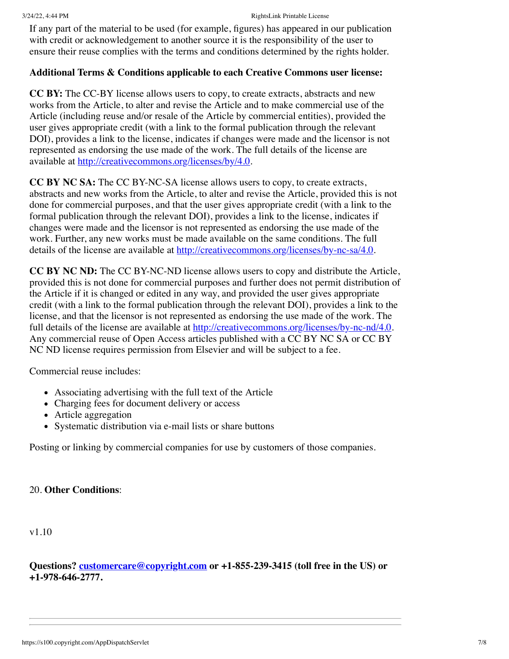If any part of the material to be used (for example, figures) has appeared in our publication with credit or acknowledgement to another source it is the responsibility of the user to ensure their reuse complies with the terms and conditions determined by the rights holder.

# **Additional Terms & Conditions applicable to each Creative Commons user license:**

**CC BY:** The CC-BY license allows users to copy, to create extracts, abstracts and new works from the Article, to alter and revise the Article and to make commercial use of the Article (including reuse and/or resale of the Article by commercial entities), provided the user gives appropriate credit (with a link to the formal publication through the relevant DOI), provides a link to the license, indicates if changes were made and the licensor is not represented as endorsing the use made of the work. The full details of the license are available at<http://creativecommons.org/licenses/by/4.0>.

**CC BY NC SA:** The CC BY-NC-SA license allows users to copy, to create extracts, abstracts and new works from the Article, to alter and revise the Article, provided this is not done for commercial purposes, and that the user gives appropriate credit (with a link to the formal publication through the relevant DOI), provides a link to the license, indicates if changes were made and the licensor is not represented as endorsing the use made of the work. Further, any new works must be made available on the same conditions. The full details of the license are available at <http://creativecommons.org/licenses/by-nc-sa/4.0>.

**CC BY NC ND:** The CC BY-NC-ND license allows users to copy and distribute the Article, provided this is not done for commercial purposes and further does not permit distribution of the Article if it is changed or edited in any way, and provided the user gives appropriate credit (with a link to the formal publication through the relevant DOI), provides a link to the license, and that the licensor is not represented as endorsing the use made of the work. The full details of the license are available at [http://creativecommons.org/licenses/by-nc-nd/4.0.](http://creativecommons.org/licenses/by-nc-nd/4.0) Any commercial reuse of Open Access articles published with a CC BY NC SA or CC BY NC ND license requires permission from Elsevier and will be subject to a fee.

Commercial reuse includes:

- Associating advertising with the full text of the Article
- Charging fees for document delivery or access
- Article aggregation
- Systematic distribution via e-mail lists or share buttons

Posting or linking by commercial companies for use by customers of those companies.

#### 20. **Other Conditions**:

#### v1.10

**Questions? [customercare@copyright.com](mailto:customercare@copyright.com) or +1-855-239-3415 (toll free in the US) or +1-978-646-2777.**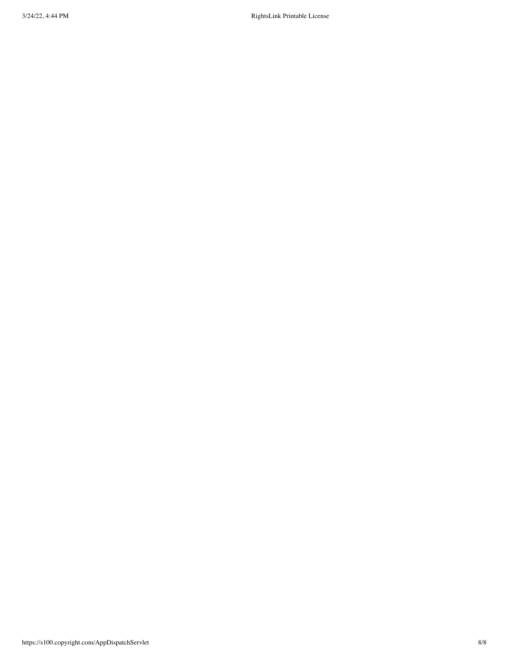3/24/22, 4:44 PM RightsLink Printable License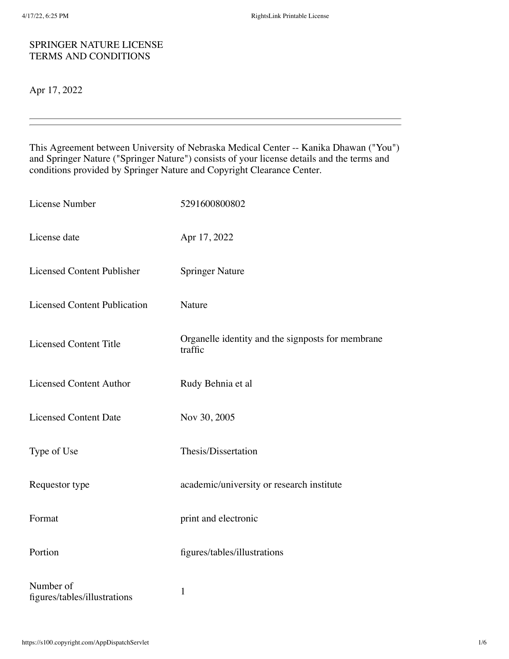#### SPRINGER NATURE LICENSE TERMS AND CONDITIONS

Apr 17, 2022

This Agreement between University of Nebraska Medical Center -- Kanika Dhawan ("You") and Springer Nature ("Springer Nature") consists of your license details and the terms and conditions provided by Springer Nature and Copyright Clearance Center.

| License Number                            | 5291600800802                                                |
|-------------------------------------------|--------------------------------------------------------------|
| License date                              | Apr 17, 2022                                                 |
| <b>Licensed Content Publisher</b>         | <b>Springer Nature</b>                                       |
| <b>Licensed Content Publication</b>       | Nature                                                       |
| <b>Licensed Content Title</b>             | Organelle identity and the signposts for membrane<br>traffic |
| <b>Licensed Content Author</b>            | Rudy Behnia et al                                            |
| <b>Licensed Content Date</b>              | Nov 30, 2005                                                 |
| Type of Use                               | Thesis/Dissertation                                          |
| Requestor type                            | academic/university or research institute                    |
| Format                                    | print and electronic                                         |
| Portion                                   | figures/tables/illustrations                                 |
| Number of<br>figures/tables/illustrations | $\mathbf{1}$                                                 |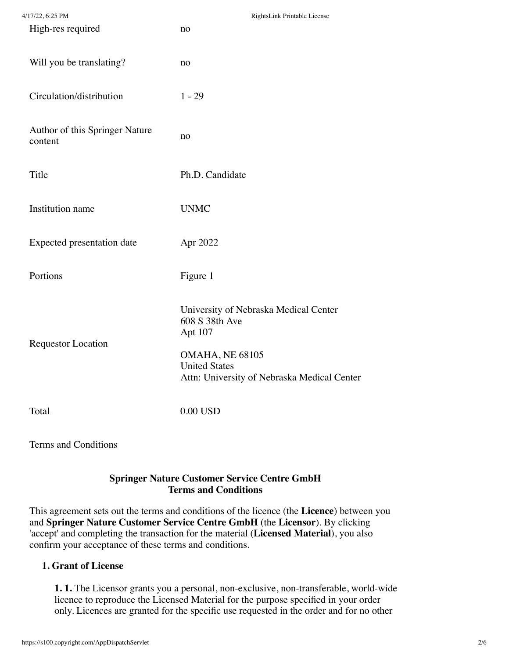| 4/17/22, 6:25 PM                          | RightsLink Printable License                                                           |
|-------------------------------------------|----------------------------------------------------------------------------------------|
| High-res required                         | no                                                                                     |
| Will you be translating?                  | no                                                                                     |
| Circulation/distribution                  | $1 - 29$                                                                               |
| Author of this Springer Nature<br>content | no                                                                                     |
| Title                                     | Ph.D. Candidate                                                                        |
| Institution name                          | <b>UNMC</b>                                                                            |
| Expected presentation date                | Apr 2022                                                                               |
| Portions                                  | Figure 1                                                                               |
| <b>Requestor Location</b>                 | University of Nebraska Medical Center<br>608 S 38th Ave<br>Apt 107                     |
|                                           | OMAHA, NE 68105<br><b>United States</b><br>Attn: University of Nebraska Medical Center |
| Total                                     | 0.00 USD                                                                               |
| <b>Terms and Conditions</b>               |                                                                                        |

# **Springer Nature Customer Service Centre GmbH Terms and Conditions**

This agreement sets out the terms and conditions of the licence (the **Licence**) between you and **Springer Nature Customer Service Centre GmbH** (the **Licensor**). By clicking 'accept' and completing the transaction for the material (**Licensed Material**), you also confirm your acceptance of these terms and conditions.

# **1. Grant of License**

**1. 1.** The Licensor grants you a personal, non-exclusive, non-transferable, world-wide licence to reproduce the Licensed Material for the purpose specified in your order only. Licences are granted for the specific use requested in the order and for no other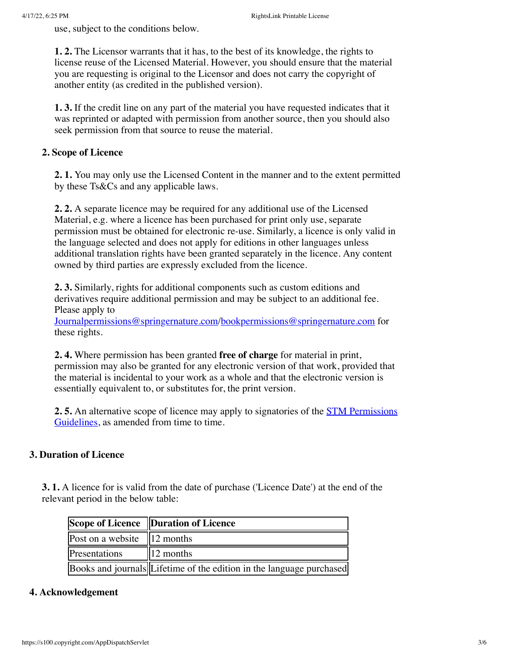use, subject to the conditions below.

**1. 2.** The Licensor warrants that it has, to the best of its knowledge, the rights to license reuse of the Licensed Material. However, you should ensure that the material you are requesting is original to the Licensor and does not carry the copyright of another entity (as credited in the published version).

**1. 3.** If the credit line on any part of the material you have requested indicates that it was reprinted or adapted with permission from another source, then you should also seek permission from that source to reuse the material.

#### **2. Scope of Licence**

**2. 1.** You may only use the Licensed Content in the manner and to the extent permitted by these Ts&Cs and any applicable laws.

**2. 2.** A separate licence may be required for any additional use of the Licensed Material, e.g. where a licence has been purchased for print only use, separate permission must be obtained for electronic re-use. Similarly, a licence is only valid in the language selected and does not apply for editions in other languages unless additional translation rights have been granted separately in the licence. Any content owned by third parties are expressly excluded from the licence.

**2. 3.** Similarly, rights for additional components such as custom editions and derivatives require additional permission and may be subject to an additional fee. Please apply to

[Journalpermissions@springernature.com](mailto:Journalpermissions@springernature.com)/[bookpermissions@springernature.com](mailto:bookpermissions@springernature.com) for these rights.

**2. 4.** Where permission has been granted **free of charge** for material in print, permission may also be granted for any electronic version of that work, provided that the material is incidental to your work as a whole and that the electronic version is essentially equivalent to, or substitutes for, the print version.

**2. 5.** [An alternative scope of licence may apply to signatories of the STM Permissions](http://www.stm-assoc.org/intellectual-property/permissions/permissions-guidelines/) Guidelines, as amended from time to time.

# **3. Duration of Licence**

**3. 1.** A licence for is valid from the date of purchase ('Licence Date') at the end of the relevant period in the below table:

|                                 | Scope of Licence   Duration of Licence                               |
|---------------------------------|----------------------------------------------------------------------|
| Post on a website $\ 12$ months |                                                                      |
| Presentations                   | $\parallel$ 12 months                                                |
|                                 | Books and journals Lifetime of the edition in the language purchased |

#### **4. Acknowledgement**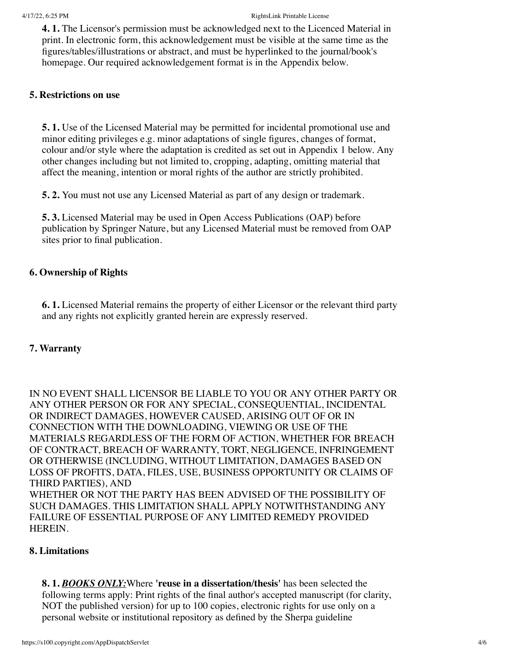**4. 1.** The Licensor's permission must be acknowledged next to the Licenced Material in print. In electronic form, this acknowledgement must be visible at the same time as the figures/tables/illustrations or abstract, and must be hyperlinked to the journal/book's homepage. Our required acknowledgement format is in the Appendix below.

#### **5. Restrictions on use**

**5. 1.** Use of the Licensed Material may be permitted for incidental promotional use and minor editing privileges e.g. minor adaptations of single figures, changes of format, colour and/or style where the adaptation is credited as set out in Appendix 1 below. Any other changes including but not limited to, cropping, adapting, omitting material that affect the meaning, intention or moral rights of the author are strictly prohibited.

**5. 2.** You must not use any Licensed Material as part of any design or trademark.

**5. 3.** Licensed Material may be used in Open Access Publications (OAP) before publication by Springer Nature, but any Licensed Material must be removed from OAP sites prior to final publication.

# **6. Ownership of Rights**

**6. 1.** Licensed Material remains the property of either Licensor or the relevant third party and any rights not explicitly granted herein are expressly reserved.

# **7. Warranty**

IN NO EVENT SHALL LICENSOR BE LIABLE TO YOU OR ANY OTHER PARTY OR ANY OTHER PERSON OR FOR ANY SPECIAL, CONSEQUENTIAL, INCIDENTAL OR INDIRECT DAMAGES, HOWEVER CAUSED, ARISING OUT OF OR IN CONNECTION WITH THE DOWNLOADING, VIEWING OR USE OF THE MATERIALS REGARDLESS OF THE FORM OF ACTION, WHETHER FOR BREACH OF CONTRACT, BREACH OF WARRANTY, TORT, NEGLIGENCE, INFRINGEMENT OR OTHERWISE (INCLUDING, WITHOUT LIMITATION, DAMAGES BASED ON LOSS OF PROFITS, DATA, FILES, USE, BUSINESS OPPORTUNITY OR CLAIMS OF THIRD PARTIES), AND WHETHER OR NOT THE PARTY HAS BEEN ADVISED OF THE POSSIBILITY OF SUCH DAMAGES. THIS LIMITATION SHALL APPLY NOTWITHSTANDING ANY FAILURE OF ESSENTIAL PURPOSE OF ANY LIMITED REMEDY PROVIDED HEREIN.

# **8. Limitations**

**8. 1.** *BOOKS ONLY:*Where **'reuse in a dissertation/thesis'** has been selected the following terms apply: Print rights of the final author's accepted manuscript (for clarity, NOT the published version) for up to 100 copies, electronic rights for use only on a personal website or institutional repository as defined by the Sherpa guideline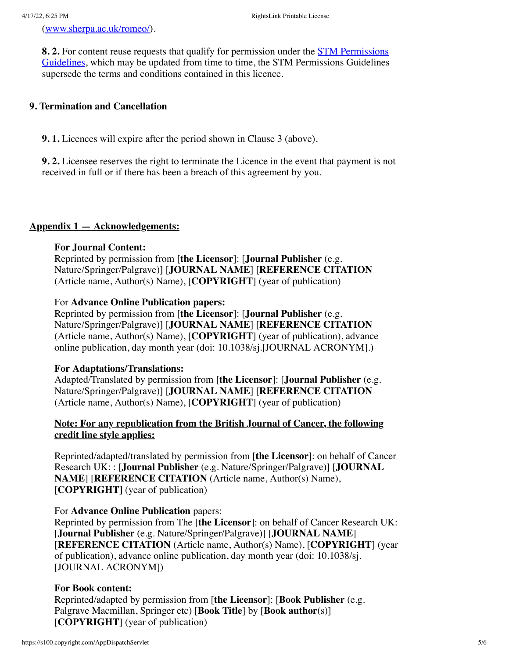[\(www.sherpa.ac.uk/romeo/](http://www.sherpa.ac.uk/romeo/)).

**8. 2.** For content reuse requests that qualify for permission under the STM Permissions [Guidelines, which may be updated from time to time, the STM Permissions Guidelines](https://www.stm-assoc.org/2020_09_30_STM_Permission_Guidelines_2020.pdf) supersede the terms and conditions contained in this licence.

#### **9. Termination and Cancellation**

**9. 1.** Licences will expire after the period shown in Clause 3 (above).

**9. 2.** Licensee reserves the right to terminate the Licence in the event that payment is not received in full or if there has been a breach of this agreement by you.

#### **Appendix 1 — Acknowledgements:**

# **For Journal Content:**

Reprinted by permission from [**the Licensor**]: [**Journal Publisher** (e.g. Nature/Springer/Palgrave)] [**JOURNAL NAME**] [**REFERENCE CITATION** (Article name, Author(s) Name), [**COPYRIGHT**] (year of publication)

#### For **Advance Online Publication papers:**

Reprinted by permission from [**the Licensor**]: [**Journal Publisher** (e.g. Nature/Springer/Palgrave)] [**JOURNAL NAME**] [**REFERENCE CITATION** (Article name, Author(s) Name), [**COPYRIGHT**] (year of publication), advance online publication, day month year (doi: 10.1038/sj.[JOURNAL ACRONYM].)

# **For Adaptations/Translations:**

Adapted/Translated by permission from [**the Licensor**]: [**Journal Publisher** (e.g. Nature/Springer/Palgrave)] [**JOURNAL NAME**] [**REFERENCE CITATION** (Article name, Author(s) Name), [**COPYRIGHT**] (year of publication)

# **Note: For any republication from the British Journal of Cancer, the following credit line style applies:**

Reprinted/adapted/translated by permission from [**the Licensor**]: on behalf of Cancer Research UK: : [**Journal Publisher** (e.g. Nature/Springer/Palgrave)] [**JOURNAL NAME**] [**REFERENCE CITATION** (Article name, Author(s) Name), [**COPYRIGHT]** (year of publication)

# For **Advance Online Publication** papers:

Reprinted by permission from The [**the Licensor**]: on behalf of Cancer Research UK: [**Journal Publisher** (e.g. Nature/Springer/Palgrave)] [**JOURNAL NAME**] [**REFERENCE CITATION** (Article name, Author(s) Name), [**COPYRIGHT**] (year of publication), advance online publication, day month year (doi: 10.1038/sj. [JOURNAL ACRONYM])

# **For Book content:**

Reprinted/adapted by permission from [**the Licensor**]: [**Book Publisher** (e.g. Palgrave Macmillan, Springer etc) [**Book Title**] by [**Book author**(s)] [**COPYRIGHT**] (year of publication)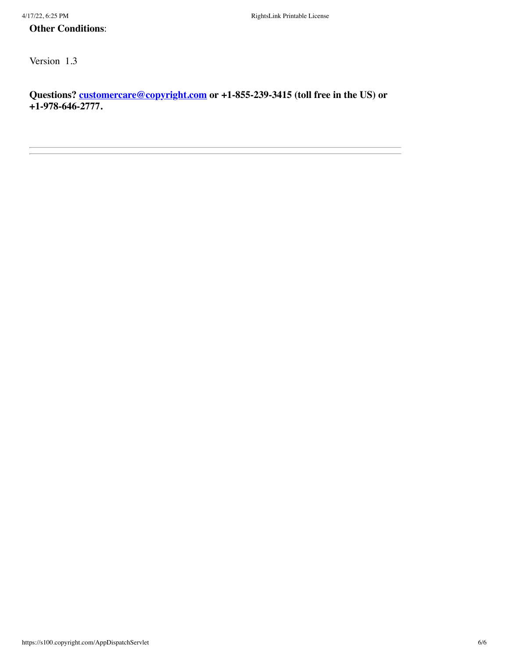Version 1.3

# **Questions? [customercare@copyright.com](mailto:customercare@copyright.com) or +1-855-239-3415 (toll free in the US) or +1-978-646-2777.**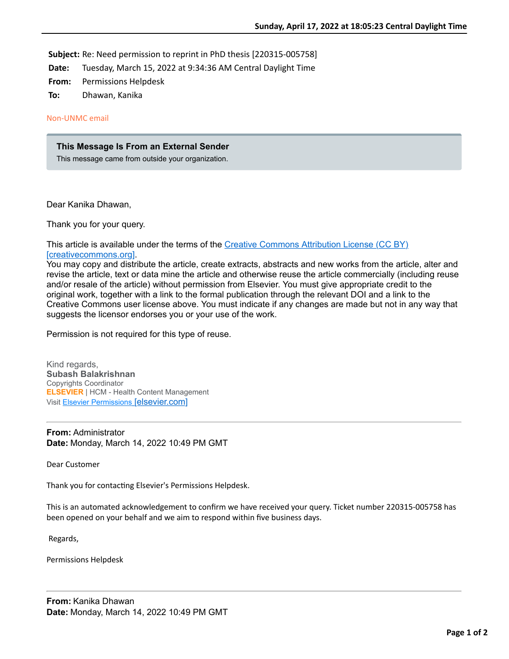**Subject:** Re: Need permission to reprint in PhD thesis [220315-005758]

**Date:** Tuesday, March 15, 2022 at 9:34:36 AM Central Daylight Time

**From:** Permissions Helpdesk

**To:** Dhawan, Kanika

Non-UNMC email

**This Message Is From an External Sender**

This message came from outside your organization.

Dear Kanika Dhawan,

Thank you for your query.

This article is available under the terms of the [Creative Commons Attribution License \(CC BY\)](https://urldefense.com/v3/__https://creativecommons.org/licenses/by/4.0/__;!!JkUDQA!fPU96EU15tJ73brcnZNvX9bWPAyh_uHrZrWiOsgv-J8yazYrTwZu3hzDvOaGuBpB2rJL$) [creativecommons.org].

You may copy and distribute the article, create extracts, abstracts and new works from the article, alter and revise the article, text or data mine the article and otherwise reuse the article commercially (including reuse and/or resale of the article) without permission from Elsevier. You must give appropriate credit to the original work, together with a link to the formal publication through the relevant DOI and a link to the Creative Commons user license above. You must indicate if any changes are made but not in any way that suggests the licensor endorses you or your use of the work.

Permission is not required for this type of reuse.

Kind regards, **Subash Balakrishnan** Copyrights Coordinator **ELSEVIER** | HCM - Health Content Management Visit [Elsevier Permissions \[elsevier.com\]](https://urldefense.com/v3/__https://www.elsevier.com/about/policies/copyright/permissions/__;!!JkUDQA!fPU96EU15tJ73brcnZNvX9bWPAyh_uHrZrWiOsgv-J8yazYrTwZu3hzDvOaGuJh0Px4B$)

**From:** Administrator **Date:** Monday, March 14, 2022 10:49 PM GMT

Dear Customer

Thank you for contacting Elsevier's Permissions Helpdesk.

This is an automated acknowledgement to confirm we have received your query. Ticket number 220315-005758 has been opened on your behalf and we aim to respond within five business days.

Regards,

Permissions Helpdesk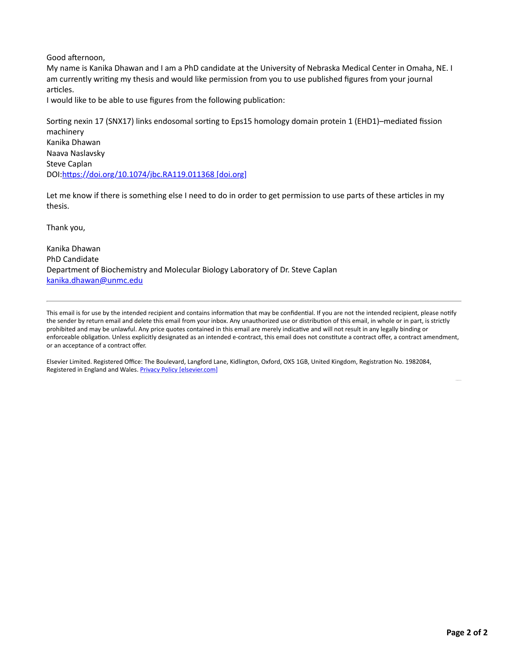Good afternoon,

My name is Kanika Dhawan and I am a PhD candidate at the University of Nebraska Medical Center in Omaha, NE. I am currently writing my thesis and would like permission from you to use published figures from your journal articles.

I would like to be able to use figures from the following publication:

Sorting nexin 17 (SNX17) links endosomal sorting to Eps15 homology domain protein 1 (EHD1)–mediated fission machinery Kanika Dhawan Naava Naslavsky Steve Caplan DOI:https://doi.org/10.1074/jbc.RA119.011368 [doi.org]

Let me know if there is something else I need to do in order to get permission to use parts of these articles in my thesis.

Thank you,

Kanika Dhawan PhD Candidate Department of Biochemistry and Molecular Biology Laboratory of Dr. Steve Caplan [kanika.dhawan@unmc.edu](mailto:kanika.dhawan@unmc.edu)

This email is for use by the intended recipient and contains information that may be confidential. If you are not the intended recipient, please notify the sender by return email and delete this email from your inbox. Any unauthorized use or distribution of this email, in whole or in part, is strictly prohibited and may be unlawful. Any price quotes contained in this email are merely indicative and will not result in any legally binding or enforceable obligation. Unless explicitly designated as an intended e-contract, this email does not constitute a contract offer, a contract amendment, or an acceptance of a contract offer.

Elsevier Limited. Registered Office: The Boulevard, Langford Lane, Kidlington, Oxford, OX5 1GB, United Kingdom, Registration No. 1982084, Registered in England and Wales. [Privacy Policy \[elsevier.com\]](https://urldefense.com/v3/__https://www.elsevier.com/legal/privacy-policy__;!!JkUDQA!fPU96EU15tJ73brcnZNvX9bWPAyh_uHrZrWiOsgv-J8yazYrTwZu3hzDvOaGuBFNCMWj$)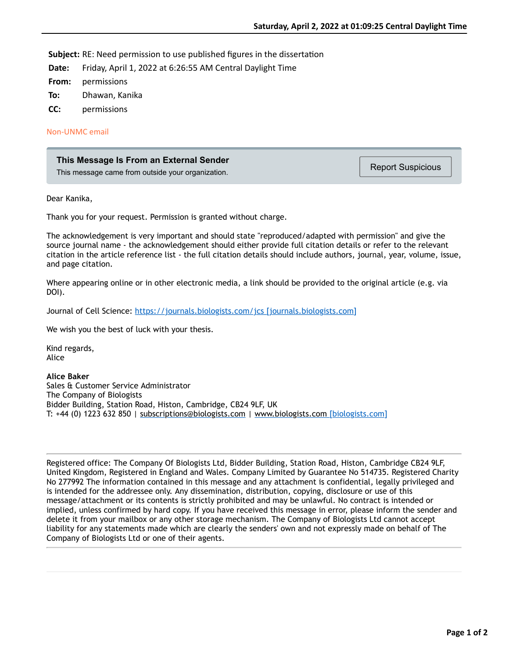Subject: RE: Need permission to use published figures in the dissertation

**Date:** Friday, April 1, 2022 at 6:26:55 AM Central Daylight Time

**From:** permissions

**To:** Dhawan, Kanika

**CC:** permissions

#### Non-UNMC email

#### **This Message Is From an External Sender**

This message came from outside your organization.

[Report Suspicious](https://us-phishalarm-ewt.proofpoint.com/EWT/v1/JkUDQA!YiZjJTbeVS5YTYt9Iat48hm6i0DNRmgi6e9MwsHTvSkcjkGc8AyBoLOdbhKExdUi_njLw15D4kQR491IslE2i3vPzOo22dFluMHS07iswq6btSc_AeKkOC1-E8VRCrZ0m78TtY5jWfMLKUk$)

Dear Kanika,

Thank you for your request. Permission is granted without charge.

The acknowledgement is very important and should state "reproduced/adapted with permission" and give the source journal name - the acknowledgement should either provide full citation details or refer to the relevant citation in the article reference list - the full citation details should include authors, journal, year, volume, issue, and page citation.

Where appearing online or in other electronic media, a link should be provided to the original article (e.g. via DOI).

Journal of Cell Science: [https://journals.biologists.com/jcs \[journals.biologists.com\]](https://urldefense.com/v3/__https://journals.biologists.com/jcs__;!!JkUDQA!e-VpSeKY0Auof5PD7-ZUJet7OcP-XIuWkGMQ3X4saNiFEe9M-hlaJW6Xuz1mgUaKYNgq$)

We wish you the best of luck with your thesis.

Kind regards, Alice

#### **Alice Baker** Sales & Customer Service Administrator The Company of Biologists Bidder Building, Station Road, Histon, Cambridge, CB24 9LF, UK T: +44 (0) 1223 632 850 | [subscriptions@biologists.com](mailto:subscriptions@biologists.com) | [www.biologists.com \[biologists.com\]](https://urldefense.com/v3/__http://www.biologists.com/__;!!JkUDQA!e-VpSeKY0Auof5PD7-ZUJet7OcP-XIuWkGMQ3X4saNiFEe9M-hlaJW6Xuz1mgV2O1MVh$)

Registered office: The Company Of Biologists Ltd, Bidder Building, Station Road, Histon, Cambridge CB24 9LF, United Kingdom, Registered in England and Wales. Company Limited by Guarantee No 514735. Registered Charity No 277992 The information contained in this message and any attachment is confidential, legally privileged and is intended for the addressee only. Any dissemination, distribution, copying, disclosure or use of this message/attachment or its contents is strictly prohibited and may be unlawful. No contract is intended or implied, unless confirmed by hard copy. If you have received this message in error, please inform the sender and delete it from your mailbox or any other storage mechanism. The Company of Biologists Ltd cannot accept liability for any statements made which are clearly the senders' own and not expressly made on behalf of The Company of Biologists Ltd or one of their agents.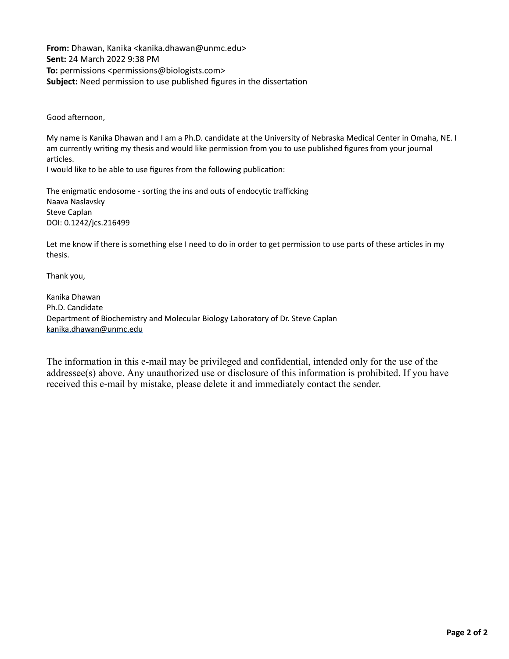**From:** Dhawan, Kanika <kanika.dhawan@unmc.edu> **Sent:** 24 March 2022 9:38 PM To: permissions <permissions@biologists.com> Subject: Need permission to use published figures in the dissertation

Good afternoon,

My name is Kanika Dhawan and I am a Ph.D. candidate at the University of Nebraska Medical Center in Omaha, NE. I am currently writing my thesis and would like permission from you to use published figures from your journal articles.

I would like to be able to use figures from the following publication:

The enigmatic endosome - sorting the ins and outs of endocytic trafficking Naava Naslavsky Steve Caplan DOI: 0.1242/jcs.216499

Let me know if there is something else I need to do in order to get permission to use parts of these articles in my thesis.

Thank you,

Kanika Dhawan Ph.D. Candidate Department of Biochemistry and Molecular Biology Laboratory of Dr. Steve Caplan [kanika.dhawan@unmc.edu](mailto:kanika.dhawan@unmc.edu)

The information in this e-mail may be privileged and confidential, intended only for the use of the addressee(s) above. Any unauthorized use or disclosure of this information is prohibited. If you have received this e-mail by mistake, please delete it and immediately contact the sender.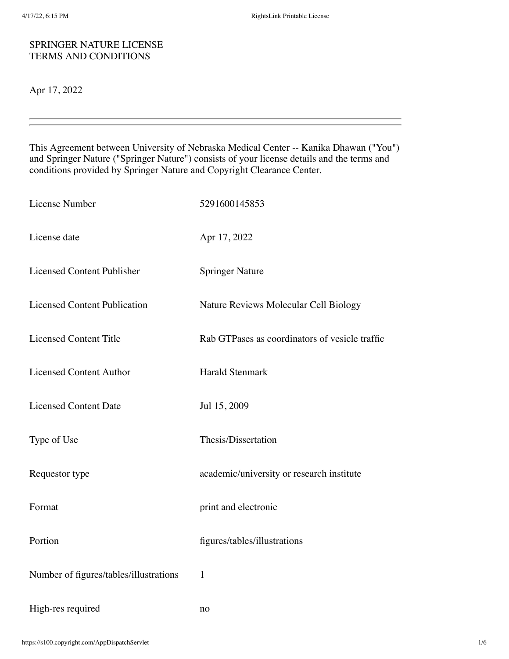#### SPRINGER NATURE LICENSE TERMS AND CONDITIONS

Apr 17, 2022

This Agreement between University of Nebraska Medical Center -- Kanika Dhawan ("You") and Springer Nature ("Springer Nature") consists of your license details and the terms and conditions provided by Springer Nature and Copyright Clearance Center.

| License Number                         | 5291600145853                                  |
|----------------------------------------|------------------------------------------------|
| License date                           | Apr 17, 2022                                   |
| <b>Licensed Content Publisher</b>      | <b>Springer Nature</b>                         |
| <b>Licensed Content Publication</b>    | Nature Reviews Molecular Cell Biology          |
| <b>Licensed Content Title</b>          | Rab GTPases as coordinators of vesicle traffic |
| <b>Licensed Content Author</b>         | <b>Harald Stenmark</b>                         |
| <b>Licensed Content Date</b>           | Jul 15, 2009                                   |
| Type of Use                            | Thesis/Dissertation                            |
| Requestor type                         | academic/university or research institute      |
| Format                                 | print and electronic                           |
| Portion                                | figures/tables/illustrations                   |
| Number of figures/tables/illustrations | $\mathbf{1}$                                   |
| High-res required                      | no                                             |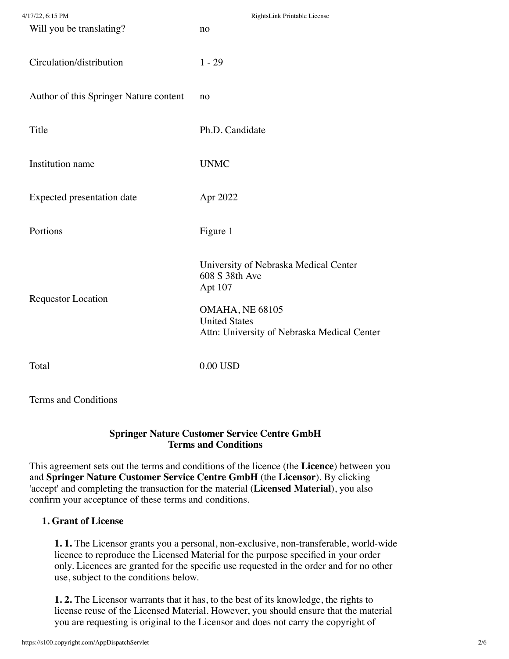| 4/17/22, 6:15 PM                       | RightsLink Printable License                                                                  |
|----------------------------------------|-----------------------------------------------------------------------------------------------|
| Will you be translating?               | no                                                                                            |
| Circulation/distribution               | $1 - 29$                                                                                      |
| Author of this Springer Nature content | $\rm no$                                                                                      |
| Title                                  | Ph.D. Candidate                                                                               |
| Institution name                       | <b>UNMC</b>                                                                                   |
| Expected presentation date             | Apr 2022                                                                                      |
| Portions                               | Figure 1                                                                                      |
| <b>Requestor Location</b>              | University of Nebraska Medical Center<br>608 S 38th Ave<br>Apt 107                            |
|                                        | <b>OMAHA, NE 68105</b><br><b>United States</b><br>Attn: University of Nebraska Medical Center |
| Total                                  | 0.00 USD                                                                                      |

Terms and Conditions

# **Springer Nature Customer Service Centre GmbH Terms and Conditions**

This agreement sets out the terms and conditions of the licence (the **Licence**) between you and **Springer Nature Customer Service Centre GmbH** (the **Licensor**). By clicking 'accept' and completing the transaction for the material (**Licensed Material**), you also confirm your acceptance of these terms and conditions.

# **1. Grant of License**

**1. 1.** The Licensor grants you a personal, non-exclusive, non-transferable, world-wide licence to reproduce the Licensed Material for the purpose specified in your order only. Licences are granted for the specific use requested in the order and for no other use, subject to the conditions below.

**1. 2.** The Licensor warrants that it has, to the best of its knowledge, the rights to license reuse of the Licensed Material. However, you should ensure that the material you are requesting is original to the Licensor and does not carry the copyright of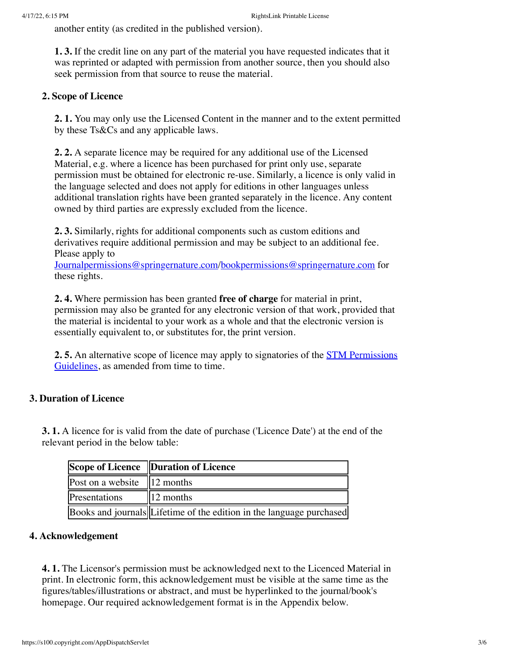another entity (as credited in the published version).

**1. 3.** If the credit line on any part of the material you have requested indicates that it was reprinted or adapted with permission from another source, then you should also seek permission from that source to reuse the material.

#### **2. Scope of Licence**

**2. 1.** You may only use the Licensed Content in the manner and to the extent permitted by these Ts&Cs and any applicable laws.

**2. 2.** A separate licence may be required for any additional use of the Licensed Material, e.g. where a licence has been purchased for print only use, separate permission must be obtained for electronic re-use. Similarly, a licence is only valid in the language selected and does not apply for editions in other languages unless additional translation rights have been granted separately in the licence. Any content owned by third parties are expressly excluded from the licence.

**2. 3.** Similarly, rights for additional components such as custom editions and derivatives require additional permission and may be subject to an additional fee. Please apply to

[Journalpermissions@springernature.com](mailto:Journalpermissions@springernature.com)/[bookpermissions@springernature.com](mailto:bookpermissions@springernature.com) for these rights.

**2. 4.** Where permission has been granted **free of charge** for material in print, permission may also be granted for any electronic version of that work, provided that the material is incidental to your work as a whole and that the electronic version is essentially equivalent to, or substitutes for, the print version.

**2. 5.** [An alternative scope of licence may apply to signatories of the STM Permissions](http://www.stm-assoc.org/intellectual-property/permissions/permissions-guidelines/) Guidelines, as amended from time to time.

# **3. Duration of Licence**

**3. 1.** A licence for is valid from the date of purchase ('Licence Date') at the end of the relevant period in the below table:

|                                 | Scope of Licence Duration of Licence                                 |
|---------------------------------|----------------------------------------------------------------------|
| Post on a website $\ 12$ months |                                                                      |
| Presentations                   | $\parallel$ 12 months                                                |
|                                 | Books and journals Lifetime of the edition in the language purchased |

#### **4. Acknowledgement**

**4. 1.** The Licensor's permission must be acknowledged next to the Licenced Material in print. In electronic form, this acknowledgement must be visible at the same time as the figures/tables/illustrations or abstract, and must be hyperlinked to the journal/book's homepage. Our required acknowledgement format is in the Appendix below.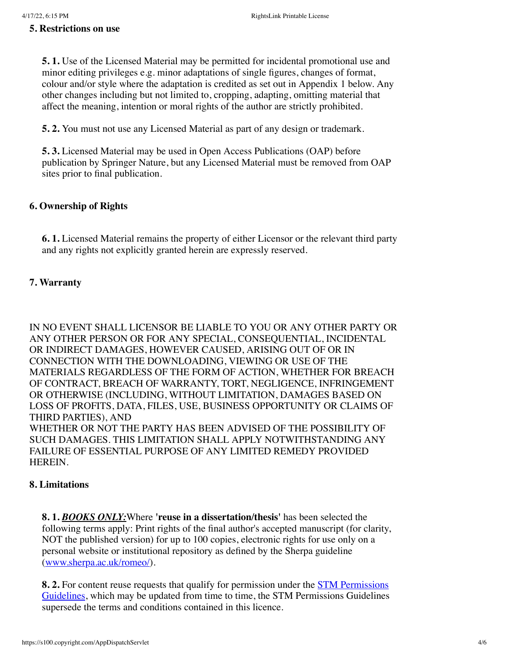# **5. Restrictions on use**

**5. 1.** Use of the Licensed Material may be permitted for incidental promotional use and minor editing privileges e.g. minor adaptations of single figures, changes of format, colour and/or style where the adaptation is credited as set out in Appendix 1 below. Any other changes including but not limited to, cropping, adapting, omitting material that affect the meaning, intention or moral rights of the author are strictly prohibited.

**5. 2.** You must not use any Licensed Material as part of any design or trademark.

**5. 3.** Licensed Material may be used in Open Access Publications (OAP) before publication by Springer Nature, but any Licensed Material must be removed from OAP sites prior to final publication.

# **6. Ownership of Rights**

**6. 1.** Licensed Material remains the property of either Licensor or the relevant third party and any rights not explicitly granted herein are expressly reserved.

# **7. Warranty**

IN NO EVENT SHALL LICENSOR BE LIABLE TO YOU OR ANY OTHER PARTY OR ANY OTHER PERSON OR FOR ANY SPECIAL, CONSEQUENTIAL, INCIDENTAL OR INDIRECT DAMAGES, HOWEVER CAUSED, ARISING OUT OF OR IN CONNECTION WITH THE DOWNLOADING, VIEWING OR USE OF THE MATERIALS REGARDLESS OF THE FORM OF ACTION, WHETHER FOR BREACH OF CONTRACT, BREACH OF WARRANTY, TORT, NEGLIGENCE, INFRINGEMENT OR OTHERWISE (INCLUDING, WITHOUT LIMITATION, DAMAGES BASED ON LOSS OF PROFITS, DATA, FILES, USE, BUSINESS OPPORTUNITY OR CLAIMS OF THIRD PARTIES), AND WHETHER OR NOT THE PARTY HAS BEEN ADVISED OF THE POSSIBILITY OF SUCH DAMAGES. THIS LIMITATION SHALL APPLY NOTWITHSTANDING ANY FAILURE OF ESSENTIAL PURPOSE OF ANY LIMITED REMEDY PROVIDED HEREIN.

#### **8. Limitations**

**8. 1.** *BOOKS ONLY:*Where **'reuse in a dissertation/thesis'** has been selected the following terms apply: Print rights of the final author's accepted manuscript (for clarity, NOT the published version) for up to 100 copies, electronic rights for use only on a personal website or institutional repository as defined by the Sherpa guideline [\(www.sherpa.ac.uk/romeo/](http://www.sherpa.ac.uk/romeo/)).

**8. 2.** For content reuse requests that qualify for permission under the STM Permissions [Guidelines, which may be updated from time to time, the STM Permissions Guidelines](https://www.stm-assoc.org/2020_09_30_STM_Permission_Guidelines_2020.pdf) supersede the terms and conditions contained in this licence.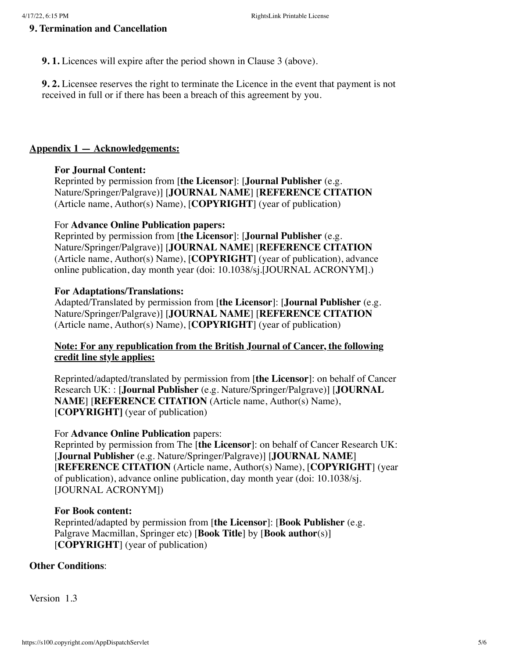# **9. Termination and Cancellation**

**9. 1.** Licences will expire after the period shown in Clause 3 (above).

**9. 2.** Licensee reserves the right to terminate the Licence in the event that payment is not received in full or if there has been a breach of this agreement by you.

#### **Appendix 1 — Acknowledgements:**

# **For Journal Content:**

Reprinted by permission from [**the Licensor**]: [**Journal Publisher** (e.g. Nature/Springer/Palgrave)] [**JOURNAL NAME**] [**REFERENCE CITATION** (Article name, Author(s) Name), [**COPYRIGHT**] (year of publication)

#### For **Advance Online Publication papers:**

Reprinted by permission from [**the Licensor**]: [**Journal Publisher** (e.g. Nature/Springer/Palgrave)] [**JOURNAL NAME**] [**REFERENCE CITATION** (Article name, Author(s) Name), [**COPYRIGHT**] (year of publication), advance online publication, day month year (doi: 10.1038/sj.[JOURNAL ACRONYM].)

#### **For Adaptations/Translations:**

Adapted/Translated by permission from [**the Licensor**]: [**Journal Publisher** (e.g. Nature/Springer/Palgrave)] [**JOURNAL NAME**] [**REFERENCE CITATION** (Article name, Author(s) Name), [**COPYRIGHT**] (year of publication)

#### **Note: For any republication from the British Journal of Cancer, the following credit line style applies:**

Reprinted/adapted/translated by permission from [**the Licensor**]: on behalf of Cancer Research UK: : [**Journal Publisher** (e.g. Nature/Springer/Palgrave)] [**JOURNAL NAME**] [**REFERENCE CITATION** (Article name, Author(s) Name), [**COPYRIGHT]** (year of publication)

#### For **Advance Online Publication** papers:

Reprinted by permission from The [**the Licensor**]: on behalf of Cancer Research UK: [**Journal Publisher** (e.g. Nature/Springer/Palgrave)] [**JOURNAL NAME**] [**REFERENCE CITATION** (Article name, Author(s) Name), [**COPYRIGHT**] (year of publication), advance online publication, day month year (doi: 10.1038/sj. [JOURNAL ACRONYM])

#### **For Book content:**

Reprinted/adapted by permission from [**the Licensor**]: [**Book Publisher** (e.g. Palgrave Macmillan, Springer etc) [**Book Title**] by [**Book author**(s)] [**COPYRIGHT**] (year of publication)

#### **Other Conditions**:

Version 1.3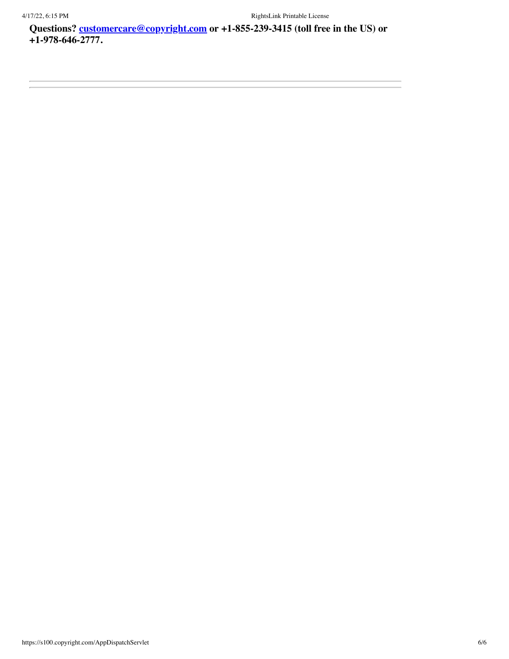**Questions? [customercare@copyright.com](mailto:customercare@copyright.com) or +1-855-239-3415 (toll free in the US) or +1-978-646-2777.**